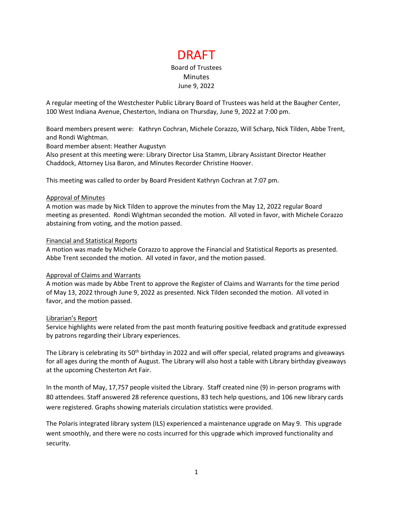# DRAFT Board of Trustees **Minutes** June 9, 2022

A regular meeting of the Westchester Public Library Board of Trustees was held at the Baugher Center, 100 West Indiana Avenue, Chesterton, Indiana on Thursday, June 9, 2022 at 7:00 pm.

Board members present were: Kathryn Cochran, Michele Corazzo, Will Scharp, Nick Tilden, Abbe Trent, and Rondi Wightman.

Board member absent: Heather Augustyn

Also present at this meeting were: Library Director Lisa Stamm, Library Assistant Director Heather Chaddock, Attorney Lisa Baron, and Minutes Recorder Christine Hoover.

This meeting was called to order by Board President Kathryn Cochran at 7:07 pm.

#### Approval of Minutes

A motion was made by Nick Tilden to approve the minutes from the May 12, 2022 regular Board meeting as presented. Rondi Wightman seconded the motion. All voted in favor, with Michele Corazzo abstaining from voting, and the motion passed.

#### Financial and Statistical Reports

A motion was made by Michele Corazzo to approve the Financial and Statistical Reports as presented. Abbe Trent seconded the motion. All voted in favor, and the motion passed.

#### Approval of Claims and Warrants

A motion was made by Abbe Trent to approve the Register of Claims and Warrants for the time period of May 13, 2022 through June 9, 2022 as presented. Nick Tilden seconded the motion. All voted in favor, and the motion passed.

#### Librarian's Report

Service highlights were related from the past month featuring positive feedback and gratitude expressed by patrons regarding their Library experiences.

The Library is celebrating its 50<sup>th</sup> birthday in 2022 and will offer special, related programs and giveaways for all ages during the month of August. The Library will also host a table with Library birthday giveaways at the upcoming Chesterton Art Fair.

In the month of May, 17,757 people visited the Library. Staff created nine (9) in-person programs with 80 attendees. Staff answered 28 reference questions, 83 tech help questions, and 106 new library cards were registered. Graphs showing materials circulation statistics were provided.

The Polaris integrated library system (ILS) experienced a maintenance upgrade on May 9. This upgrade went smoothly, and there were no costs incurred for this upgrade which improved functionality and security.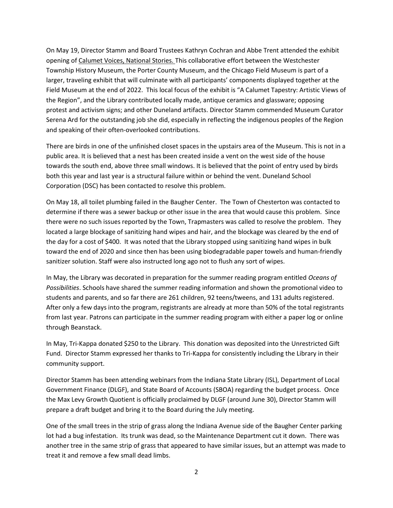On May 19, Director Stamm and Board Trustees Kathryn Cochran and Abbe Trent attended the exhibit opening of Calumet Voices, National Stories. This collaborative effort between the Westchester Township History Museum, the Porter County Museum, and the Chicago Field Museum is part of a larger, traveling exhibit that will culminate with all participants' components displayed together at the Field Museum at the end of 2022. This local focus of the exhibit is "A Calumet Tapestry: Artistic Views of the Region", and the Library contributed locally made, antique ceramics and glassware; opposing protest and activism signs; and other Duneland artifacts. Director Stamm commended Museum Curator Serena Ard for the outstanding job she did, especially in reflecting the indigenous peoples of the Region and speaking of their often-overlooked contributions.

There are birds in one of the unfinished closet spaces in the upstairs area of the Museum. This is not in a public area. It is believed that a nest has been created inside a vent on the west side of the house towards the south end, above three small windows. It is believed that the point of entry used by birds both this year and last year is a structural failure within or behind the vent. Duneland School Corporation (DSC) has been contacted to resolve this problem.

On May 18, all toilet plumbing failed in the Baugher Center. The Town of Chesterton was contacted to determine if there was a sewer backup or other issue in the area that would cause this problem. Since there were no such issues reported by the Town, Trapmasters was called to resolve the problem. They located a large blockage of sanitizing hand wipes and hair, and the blockage was cleared by the end of the day for a cost of \$400. It was noted that the Library stopped using sanitizing hand wipes in bulk toward the end of 2020 and since then has been using biodegradable paper towels and human-friendly sanitizer solution. Staff were also instructed long ago not to flush any sort of wipes.

In May, the Library was decorated in preparation for the summer reading program entitled *Oceans of Possibilities*. Schools have shared the summer reading information and shown the promotional video to students and parents, and so far there are 261 children, 92 teens/tweens, and 131 adults registered. After only a few days into the program, registrants are already at more than 50% of the total registrants from last year. Patrons can participate in the summer reading program with either a paper log or online through Beanstack.

In May, Tri-Kappa donated \$250 to the Library. This donation was deposited into the Unrestricted Gift Fund. Director Stamm expressed her thanks to Tri-Kappa for consistently including the Library in their community support.

Director Stamm has been attending webinars from the Indiana State Library (ISL), Department of Local Government Finance (DLGF), and State Board of Accounts (SBOA) regarding the budget process. Once the Max Levy Growth Quotient is officially proclaimed by DLGF (around June 30), Director Stamm will prepare a draft budget and bring it to the Board during the July meeting.

One of the small trees in the strip of grass along the Indiana Avenue side of the Baugher Center parking lot had a bug infestation. Its trunk was dead, so the Maintenance Department cut it down. There was another tree in the same strip of grass that appeared to have similar issues, but an attempt was made to treat it and remove a few small dead limbs.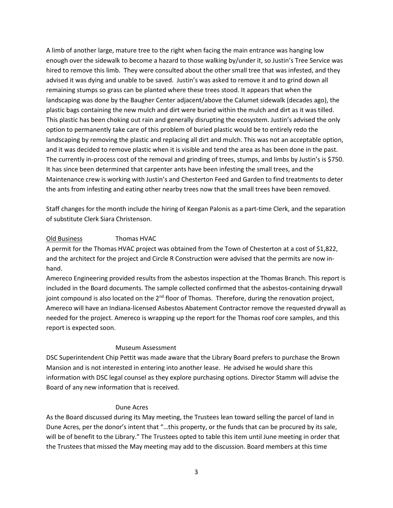A limb of another large, mature tree to the right when facing the main entrance was hanging low enough over the sidewalk to become a hazard to those walking by/under it, so Justin's Tree Service was hired to remove this limb. They were consulted about the other small tree that was infested, and they advised it was dying and unable to be saved. Justin's was asked to remove it and to grind down all remaining stumps so grass can be planted where these trees stood. It appears that when the landscaping was done by the Baugher Center adjacent/above the Calumet sidewalk (decades ago), the plastic bags containing the new mulch and dirt were buried within the mulch and dirt as it was tilled. This plastic has been choking out rain and generally disrupting the ecosystem. Justin's advised the only option to permanently take care of this problem of buried plastic would be to entirely redo the landscaping by removing the plastic and replacing all dirt and mulch. This was not an acceptable option, and it was decided to remove plastic when it is visible and tend the area as has been done in the past. The currently in-process cost of the removal and grinding of trees, stumps, and limbs by Justin's is \$750. It has since been determined that carpenter ants have been infesting the small trees, and the Maintenance crew is working with Justin's and Chesterton Feed and Garden to find treatments to deter the ants from infesting and eating other nearby trees now that the small trees have been removed.

Staff changes for the month include the hiring of Keegan Palonis as a part-time Clerk, and the separation of substitute Clerk Siara Christenson.

## Old Business Thomas HVAC

A permit for the Thomas HVAC project was obtained from the Town of Chesterton at a cost of \$1,822, and the architect for the project and Circle R Construction were advised that the permits are now inhand.

Amereco Engineering provided results from the asbestos inspection at the Thomas Branch. This report is included in the Board documents. The sample collected confirmed that the asbestos-containing drywall joint compound is also located on the 2<sup>nd</sup> floor of Thomas. Therefore, during the renovation project, Amereco will have an Indiana-licensed Asbestos Abatement Contractor remove the requested drywall as needed for the project. Amereco is wrapping up the report for the Thomas roof core samples, and this report is expected soon.

## Museum Assessment

DSC Superintendent Chip Pettit was made aware that the Library Board prefers to purchase the Brown Mansion and is not interested in entering into another lease. He advised he would share this information with DSC legal counsel as they explore purchasing options. Director Stamm will advise the Board of any new information that is received.

## Dune Acres

As the Board discussed during its May meeting, the Trustees lean toward selling the parcel of land in Dune Acres, per the donor's intent that "…this property, or the funds that can be procured by its sale, will be of benefit to the Library." The Trustees opted to table this item until June meeting in order that the Trustees that missed the May meeting may add to the discussion. Board members at this time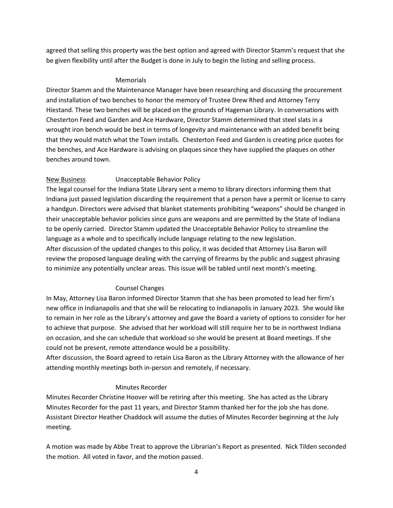agreed that selling this property was the best option and agreed with Director Stamm's request that she be given flexibility until after the Budget is done in July to begin the listing and selling process.

## Memorials

Director Stamm and the Maintenance Manager have been researching and discussing the procurement and installation of two benches to honor the memory of Trustee Drew Rhed and Attorney Terry Hiestand. These two benches will be placed on the grounds of Hageman Library. In conversations with Chesterton Feed and Garden and Ace Hardware, Director Stamm determined that steel slats in a wrought iron bench would be best in terms of longevity and maintenance with an added benefit being that they would match what the Town installs. Chesterton Feed and Garden is creating price quotes for the benches, and Ace Hardware is advising on plaques since they have supplied the plaques on other benches around town.

# New Business **Unacceptable Behavior Policy**

The legal counsel for the Indiana State Library sent a memo to library directors informing them that Indiana just passed legislation discarding the requirement that a person have a permit or license to carry a handgun. Directors were advised that blanket statements prohibiting "weapons" should be changed in their unacceptable behavior policies since guns are weapons and are permitted by the State of Indiana to be openly carried. Director Stamm updated the Unacceptable Behavior Policy to streamline the language as a whole and to specifically include language relating to the new legislation. After discussion of the updated changes to this policy, it was decided that Attorney Lisa Baron will review the proposed language dealing with the carrying of firearms by the public and suggest phrasing to minimize any potentially unclear areas. This issue will be tabled until next month's meeting.

# Counsel Changes

In May, Attorney Lisa Baron informed Director Stamm that she has been promoted to lead her firm's new office in Indianapolis and that she will be relocating to Indianapolis in January 2023. She would like to remain in her role as the Library's attorney and gave the Board a variety of options to consider for her to achieve that purpose. She advised that her workload will still require her to be in northwest Indiana on occasion, and she can schedule that workload so she would be present at Board meetings. If she could not be present, remote attendance would be a possibility.

After discussion, the Board agreed to retain Lisa Baron as the Library Attorney with the allowance of her attending monthly meetings both in-person and remotely, if necessary.

# Minutes Recorder

Minutes Recorder Christine Hoover will be retiring after this meeting. She has acted as the Library Minutes Recorder for the past 11 years, and Director Stamm thanked her for the job she has done. Assistant Director Heather Chaddock will assume the duties of Minutes Recorder beginning at the July meeting.

A motion was made by Abbe Treat to approve the Librarian's Report as presented. Nick Tilden seconded the motion. All voted in favor, and the motion passed.